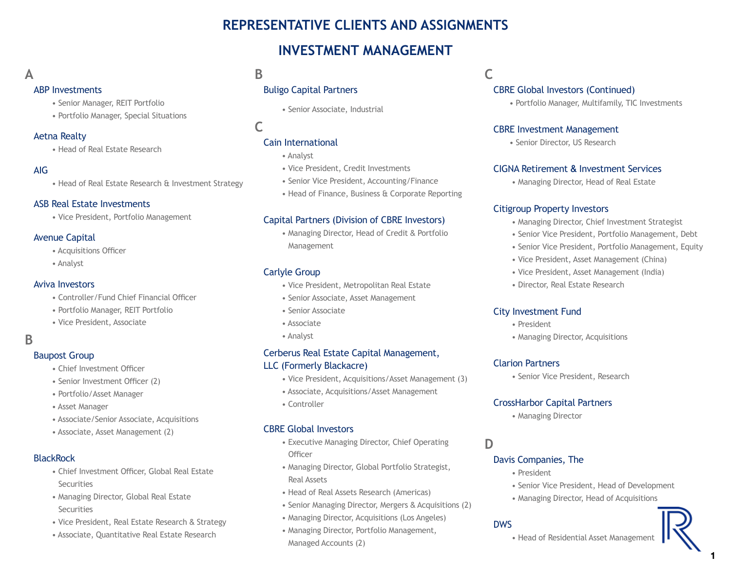# **REPRESENTATIVE CLIENTS AND ASSIGNMENTS**

# **INVESTMENT MANAGEMENT**

### **A**

#### ABP Investments

- Senior Manager, REIT Portfolio
- Portfolio Manager, Special Situations

#### Aetna Realty

• Head of Real Estate Research

#### AIG

• Head of Real Estate Research & Investment Strategy

#### ASB Real Estate Investments

• Vice President, Portfolio Management

#### Avenue Capital

- Acquisitions Officer
- Analyst

#### Aviva Investors

- Controller/Fund Chief Financial Officer
- Portfolio Manager, REIT Portfolio
- Vice President, Associate

### **B**

#### Baupost Group

- Chief Investment Officer
- Senior Investment Officer (2)
- Portfolio/Asset Manager
- Asset Manager
- Associate/Senior Associate, Acquisitions
- Associate, Asset Management (2)

#### **BlackRock**

- Chief Investment Officer, Global Real Estate **Securities**
- Managing Director, Global Real Estate **Securities**
- Vice President, Real Estate Research & Strategy
- Associate, Quantitative Real Estate Research

### **B**

### Buligo Capital Partners

• Senior Associate, Industrial

**C**

#### Cain International

- Analyst
- Vice President, Credit Investments
- Senior Vice President, Accounting/Finance
- Head of Finance, Business & Corporate Reporting

#### Capital Partners (Division of CBRE Investors)

• Managing Director, Head of Credit & Portfolio Management

#### Carlyle Group

- Vice President, Metropolitan Real Estate
- Senior Associate, Asset Management
- Senior Associate
- Associate
- Analyst

#### Cerberus Real Estate Capital Management, LLC (Formerly Blackacre)

- Vice President, Acquisitions/Asset Management (3)
- Associate, Acquisitions/Asset Management
- Controller

#### CBRE Global Investors

- Executive Managing Director, Chief Operating **Officer**
- Managing Director, Global Portfolio Strategist, Real Assets
- Head of Real Assets Research (Americas)
- Senior Managing Director, Mergers & Acquisitions (2)
- Managing Director, Acquisitions (Los Angeles)
- Managing Director, Portfolio Management, Managed Accounts (2)

# **C**

#### CBRE Global Investors (Continued)

• Portfolio Manager, Multifamily, TIC Investments

#### CBRE Investment Management

• Senior Director, US Research

#### CIGNA Retirement & Investment Services

• Managing Director, Head of Real Estate

#### Citigroup Property Investors

- Managing Director, Chief Investment Strategist
- Senior Vice President, Portfolio Management, Debt
- Senior Vice President, Portfolio Management, Equity
- Vice President, Asset Management (China)
- Vice President, Asset Management (India)
- Director, Real Estate Research

#### City Investment Fund

- President
- Managing Director, Acquisitions

#### Clarion Partners

• Senior Vice President, Research

#### CrossHarbor Capital Partners

• Managing Director

#### **D**

#### Davis Companies, The

- President
- Senior Vice President, Head of Development
- Managing Director, Head of Acquisitions

#### DWS

• Head of Residential Asset Management

1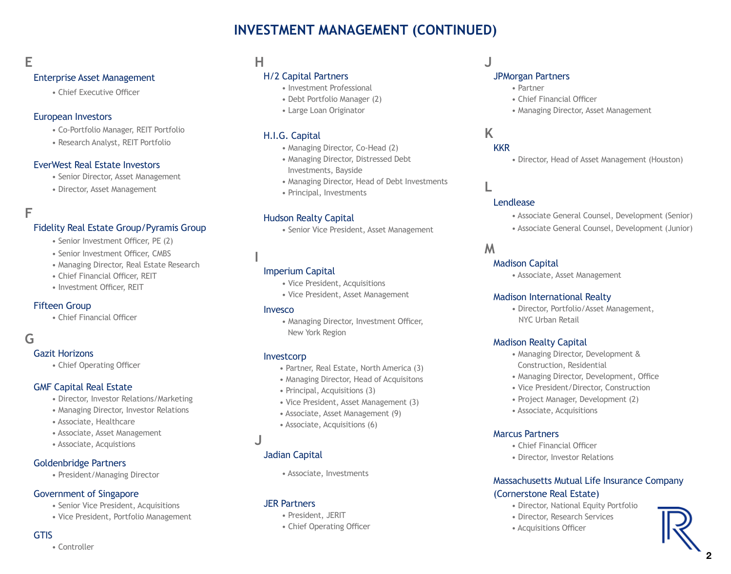# **INVESTMENT MANAGEMENT (CONTINUED)**

# **E**

#### Enterprise Asset Management

• Chief Executive Officer

#### European Investors

- Co-Portfolio Manager, REIT Portfolio
- Research Analyst, REIT Portfolio

#### EverWest Real Estate Investors

- Senior Director, Asset Management
- Director, Asset Management

#### **F**

#### Fidelity Real Estate Group/Pyramis Group

- Senior Investment Officer, PE (2)
- Senior Investment Officer, CMBS
- Managing Director, Real Estate Research
- Chief Financial Officer, REIT
- Investment Officer, REIT

#### Fifteen Group

• Chief Financial Officer

# **G**

#### Gazit Horizons

• Chief Operating Officer

#### GMF Capital Real Estate

- Director, Investor Relations/Marketing
- Managing Director, Investor Relations
- Associate, Healthcare
- Associate, Asset Management
- Associate, Acquistions

#### Goldenbridge Partners

• President/Managing Director

#### Government of Singapore

- Senior Vice President, Acquisitions
- Vice President, Portfolio Management

#### **GTIS**

• Controller

### **H**

#### H/2 Capital Partners

- Investment Professional
- Debt Portfolio Manager (2)
- Large Loan Originator

#### H.I.G. Capital

- Managing Director, Co-Head (2)
- Managing Director, Distressed Debt Investments, Bayside
- Managing Director, Head of Debt Investments
- Principal, Investments

#### Hudson Realty Capital

• Senior Vice President, Asset Management

#### Imperium Capital

- Vice President, Acquisitions
- Vice President, Asset Management

#### Invesco

**I**

• Managing Director, Investment Officer, New York Region

#### Investcorp

- Partner, Real Estate, North America (3)
- Managing Director, Head of Acquisitons
- Principal, Acquisitions (3)
- Vice President, Asset Management (3)
- Associate, Asset Management (9)
- Associate, Acquisitions (6)

# **J**

#### Jadian Capital

• Associate, Investments

#### JER Partners

- President, JERIT
- Chief Operating Officer

**J**

#### JPMorgan Partners

- Partner
	- Chief Financial Officer
	- Managing Director, Asset Management

# **K**

#### **KKR**

• Director, Head of Asset Management (Houston)

# **L**

#### Lendlease

- Associate General Counsel, Development (Senior)
- Associate General Counsel, Development (Junior)

#### **M**

#### Madison Capital

• Associate, Asset Management

#### Madison International Realty

• Director, Portfolio/Asset Management, NYC Urban Retail

#### Madison Realty Capital

- Managing Director, Development & Construction, Residential
- Managing Director, Development, Office
- Vice President/Director, Construction
- Project Manager, Development (2)
- Associate, Acquisitions

#### Marcus Partners

- Chief Financial Officer
- Director, Investor Relations

#### Massachusetts Mutual Life Insurance Company (Cornerstone Real Estate)

- Director, National Equity Portfolio
- Director, Research Services
- Acquisitions Officer

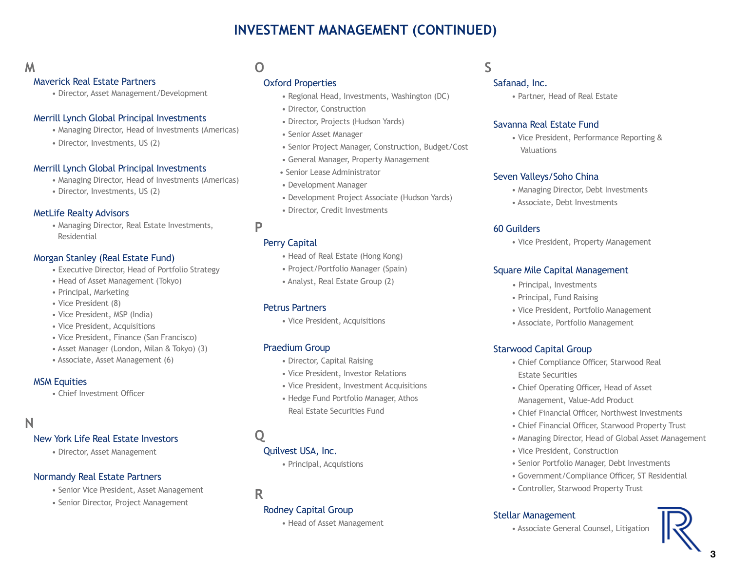# **INVESTMENT MANAGEMENT (CONTINUED)**

# **M**

#### Maverick Real Estate Partners

• Director, Asset Management/Development

#### Merrill Lynch Global Principal Investments

- Managing Director, Head of Investments (Americas)
- Director, Investments, US (2)

#### Merrill Lynch Global Principal Investments

- Managing Director, Head of Investments (Americas)
- Director, Investments, US (2)

#### MetLife Realty Advisors

• Managing Director, Real Estate Investments, Residential

#### Morgan Stanley (Real Estate Fund)

- Executive Director, Head of Portfolio Strategy
- Head of Asset Management (Tokyo)
- Principal, Marketing
- Vice President (8)
- Vice President, MSP (India)
- Vice President, Acquisitions
- Vice President, Finance (San Francisco)
- Asset Manager (London, Milan & Tokyo) (3)
- Associate, Asset Management (6)

#### MSM Equities

• Chief Investment Officer

### **N**

#### New York Life Real Estate Investors

• Director, Asset Management

### Normandy Real Estate Partners

- Senior Vice President, Asset Management
- Senior Director, Project Management

# **O**

#### Oxford Properties

- Regional Head, Investments, Washington (DC)
- Director, Construction
- Director, Projects (Hudson Yards)
- Senior Asset Manager
- Senior Project Manager, Construction, Budget/Cost
- General Manager, Property Management
- Senior Lease Administrator
- Development Manager
- Development Project Associate (Hudson Yards)
- Director, Credit Investments

#### **P**

#### Perry Capital

- Head of Real Estate (Hong Kong)
- Project/Portfolio Manager (Spain)
- Analyst, Real Estate Group (2)

#### Petrus Partners

• Vice President, Acquisitions

#### Praedium Group

- Director, Capital Raising
- Vice President, Investor Relations
- Vice President, Investment Acquisitions
- Hedge Fund Portfolio Manager, Athos Real Estate Securities Fund

# **Q**

### Quilvest USA, Inc.

• Principal, Acquistions

**R**

#### Rodney Capital Group

• Head of Asset Management

### **S**

#### Safanad, Inc.

• Partner, Head of Real Estate

#### Savanna Real Estate Fund

• Vice President, Performance Reporting & **Valuations** 

#### Seven Valleys/Soho China

- Managing Director, Debt Investments
- Associate, Debt Investments

#### 60 Guilders

• Vice President, Property Management

#### Square Mile Capital Management

- Principal, Investments
- Principal, Fund Raising
- Vice President, Portfolio Management
- Associate, Portfolio Management

#### Starwood Capital Group

- Chief Compliance Officer, Starwood Real Estate Securities
- Chief Operating Officer, Head of Asset Management, Value-Add Product
- Chief Financial Officer, Northwest Investments
- Chief Financial Officer, Starwood Property Trust
- Managing Director, Head of Global Asset Management
- Vice President, Construction
- Senior Portfolio Manager, Debt Investments
- Government/Compliance Officer, ST Residential
- Controller, Starwood Property Trust

#### Stellar Management

• Associate General Counsel, Litigation